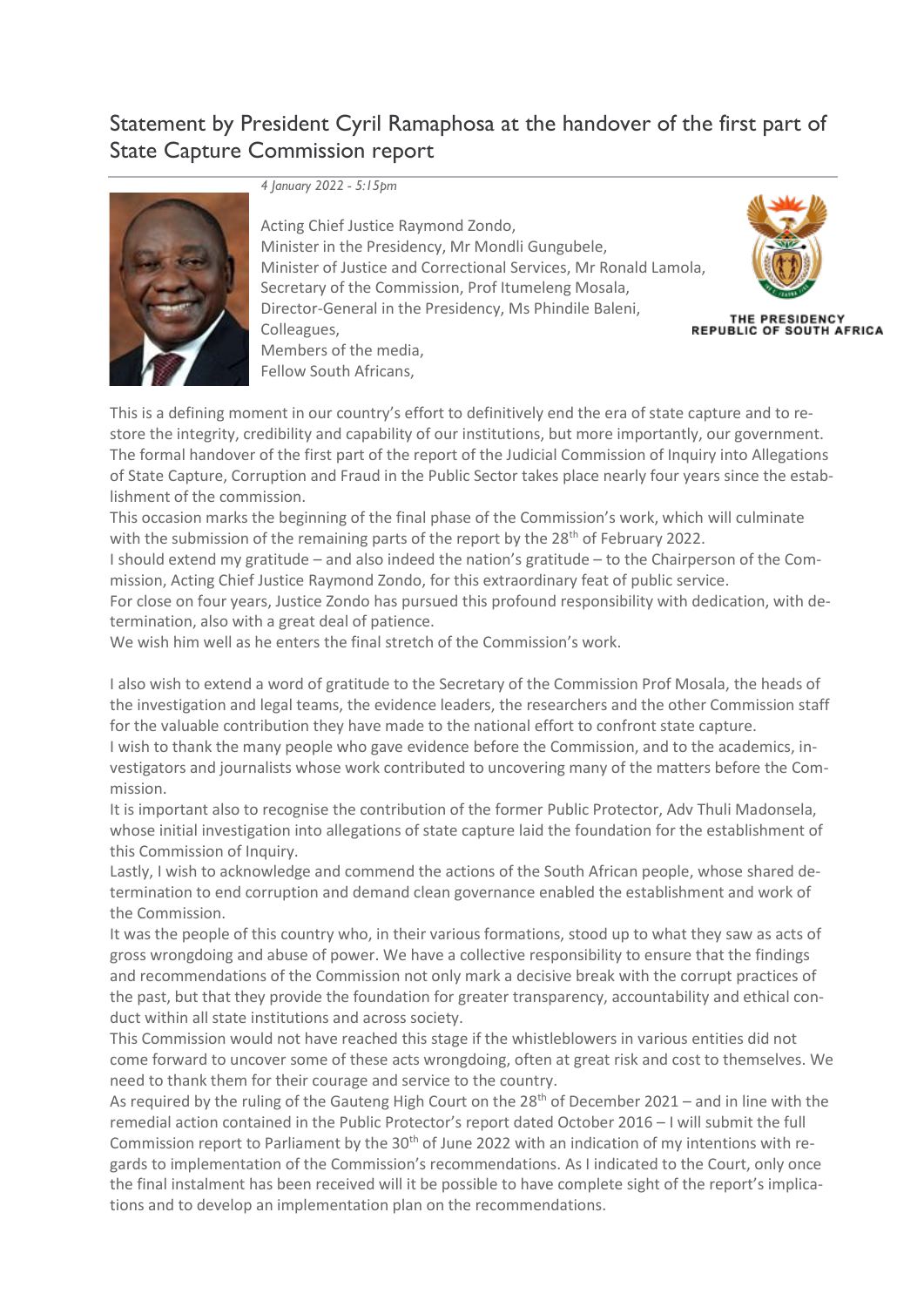## Statement by President Cyril Ramaphosa at the handover of the first part of State Capture Commission report



*4 January 2022 - 5:15pm*

Acting Chief Justice Raymond Zondo, Minister in the Presidency, Mr Mondli Gungubele, Minister of Justice and Correctional Services, Mr Ronald Lamola, Secretary of the Commission, Prof Itumeleng Mosala, Director-General in the Presidency, Ms Phindile Baleni, Colleagues, Members of the media,



THE PRESIDENCY<br>REPUBLIC OF SOUTH AFRICA

Fellow South Africans,

This is a defining moment in our country's effort to definitively end the era of state capture and to restore the integrity, credibility and capability of our institutions, but more importantly, our government. The formal handover of the first part of the report of the Judicial Commission of Inquiry into Allegations of State Capture, Corruption and Fraud in the Public Sector takes place nearly four years since the establishment of the commission.

This occasion marks the beginning of the final phase of the Commission's work, which will culminate with the submission of the remaining parts of the report by the  $28<sup>th</sup>$  of February 2022.

I should extend my gratitude – and also indeed the nation's gratitude – to the Chairperson of the Commission, Acting Chief Justice Raymond Zondo, for this extraordinary feat of public service.

For close on four years, Justice Zondo has pursued this profound responsibility with dedication, with determination, also with a great deal of patience.

We wish him well as he enters the final stretch of the Commission's work.

I also wish to extend a word of gratitude to the Secretary of the Commission Prof Mosala, the heads of the investigation and legal teams, the evidence leaders, the researchers and the other Commission staff for the valuable contribution they have made to the national effort to confront state capture. I wish to thank the many people who gave evidence before the Commission, and to the academics, investigators and journalists whose work contributed to uncovering many of the matters before the Commission.

It is important also to recognise the contribution of the former Public Protector, Adv Thuli Madonsela, whose initial investigation into allegations of state capture laid the foundation for the establishment of this Commission of Inquiry.

Lastly, I wish to acknowledge and commend the actions of the South African people, whose shared determination to end corruption and demand clean governance enabled the establishment and work of the Commission.

It was the people of this country who, in their various formations, stood up to what they saw as acts of gross wrongdoing and abuse of power. We have a collective responsibility to ensure that the findings and recommendations of the Commission not only mark a decisive break with the corrupt practices of the past, but that they provide the foundation for greater transparency, accountability and ethical conduct within all state institutions and across society.

This Commission would not have reached this stage if the whistleblowers in various entities did not come forward to uncover some of these acts wrongdoing, often at great risk and cost to themselves. We need to thank them for their courage and service to the country.

As required by the ruling of the Gauteng High Court on the  $28<sup>th</sup>$  of December 2021 – and in line with the remedial action contained in the Public Protector's report dated October 2016 – I will submit the full Commission report to Parliament by the  $30<sup>th</sup>$  of June 2022 with an indication of my intentions with regards to implementation of the Commission's recommendations. As I indicated to the Court, only once the final instalment has been received will it be possible to have complete sight of the report's implications and to develop an implementation plan on the recommendations.